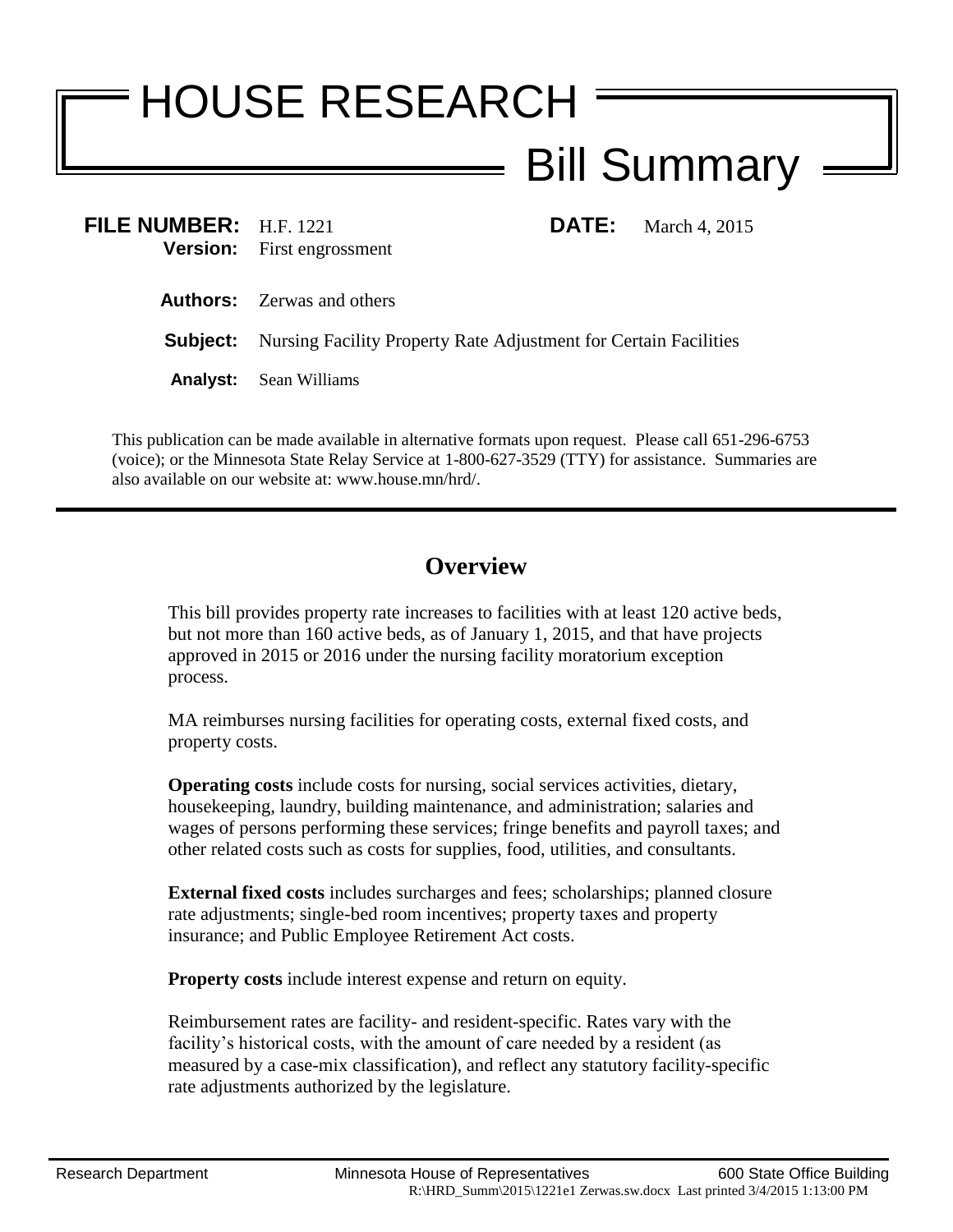## HOUSE RESEARCH Bill Summary

**FILE NUMBER:** H.F. 1221 **DATE:** March 4, 2015 **Version:** First engrossment **Authors:** Zerwas and others

**Subject:** Nursing Facility Property Rate Adjustment for Certain Facilities

**Analyst:** Sean Williams

This publication can be made available in alternative formats upon request. Please call 651-296-6753 (voice); or the Minnesota State Relay Service at 1-800-627-3529 (TTY) for assistance. Summaries are also available on our website at: www.house.mn/hrd/.

## **Overview**

This bill provides property rate increases to facilities with at least 120 active beds, but not more than 160 active beds, as of January 1, 2015, and that have projects approved in 2015 or 2016 under the nursing facility moratorium exception process.

MA reimburses nursing facilities for operating costs, external fixed costs, and property costs.

**Operating costs** include costs for nursing, social services activities, dietary, housekeeping, laundry, building maintenance, and administration; salaries and wages of persons performing these services; fringe benefits and payroll taxes; and other related costs such as costs for supplies, food, utilities, and consultants.

**External fixed costs** includes surcharges and fees; scholarships; planned closure rate adjustments; single-bed room incentives; property taxes and property insurance; and Public Employee Retirement Act costs.

**Property costs** include interest expense and return on equity.

Reimbursement rates are facility- and resident-specific. Rates vary with the facility's historical costs, with the amount of care needed by a resident (as measured by a case-mix classification), and reflect any statutory facility-specific rate adjustments authorized by the legislature.